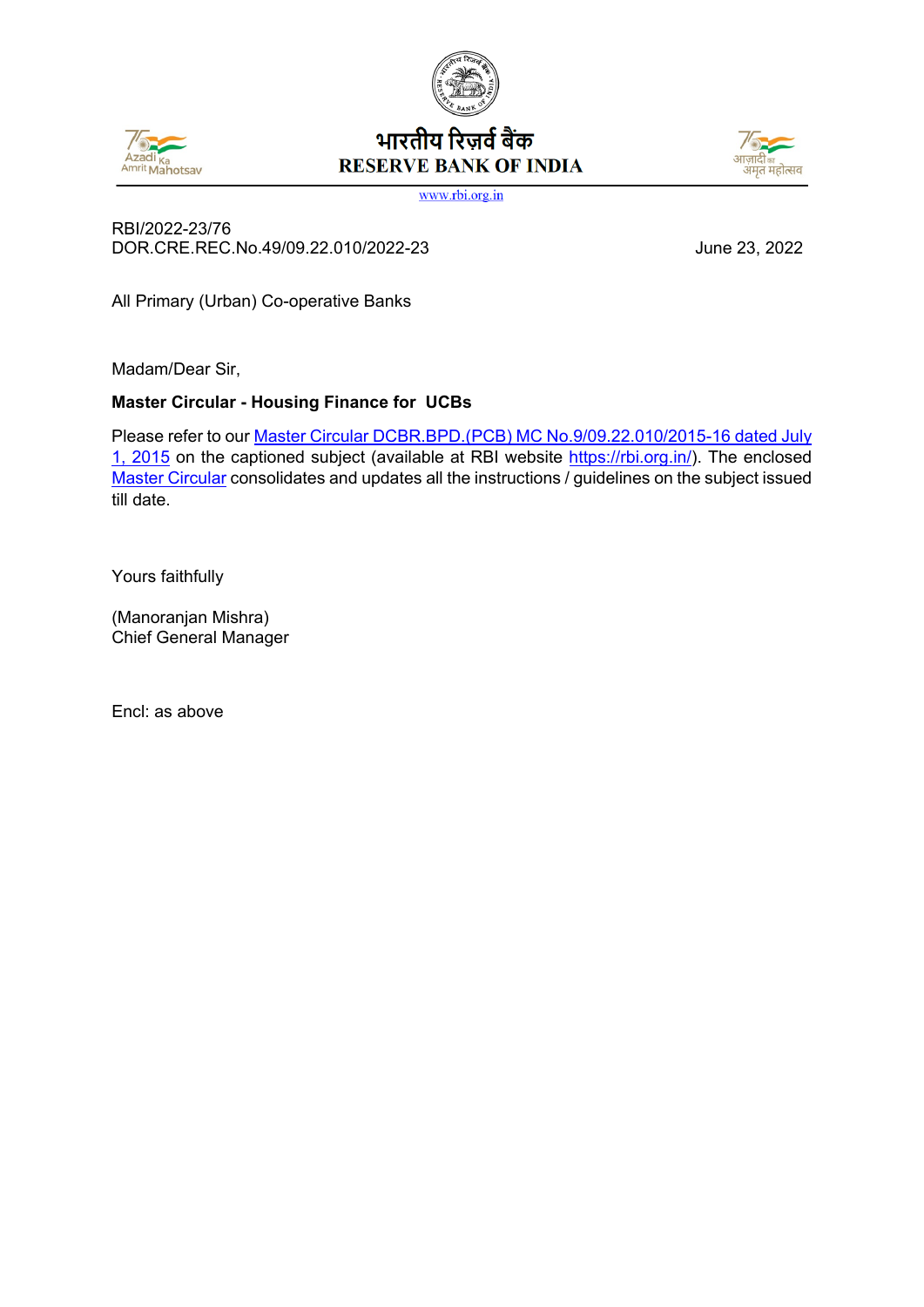



# भारतीय रिजर्व बैंक **RESERVE BANK OF INDIA**



www.rbi.org.in

#### RBI/2022-23/76 DOR.CRE.REC.No.49/09.22.010/2022-23 June 23, 2022

All Primary (Urban) Co-operative Banks

Madam/Dear Sir,

## **Master Circular - Housing Finance for UCBs**

Please refer to our [Master Circular DCBR.BPD.\(PCB\) MC No.9/09.22.010/2015-16](https://rbi.org.in/Scripts/BS_ViewMasCirculardetails.aspx?id=9814) dated July [1, 2015](https://rbi.org.in/Scripts/BS_ViewMasCirculardetails.aspx?id=9814) on the captioned subject (available at RBI website [https://rbi.org.in/\)](https://rbi.org.in/). The enclosed [Master Circular](#page-1-0) consolidates and updates all the instructions / guidelines on the subject issued till date.

Yours faithfully

(Manoranjan Mishra) Chief General Manager

Encl: as above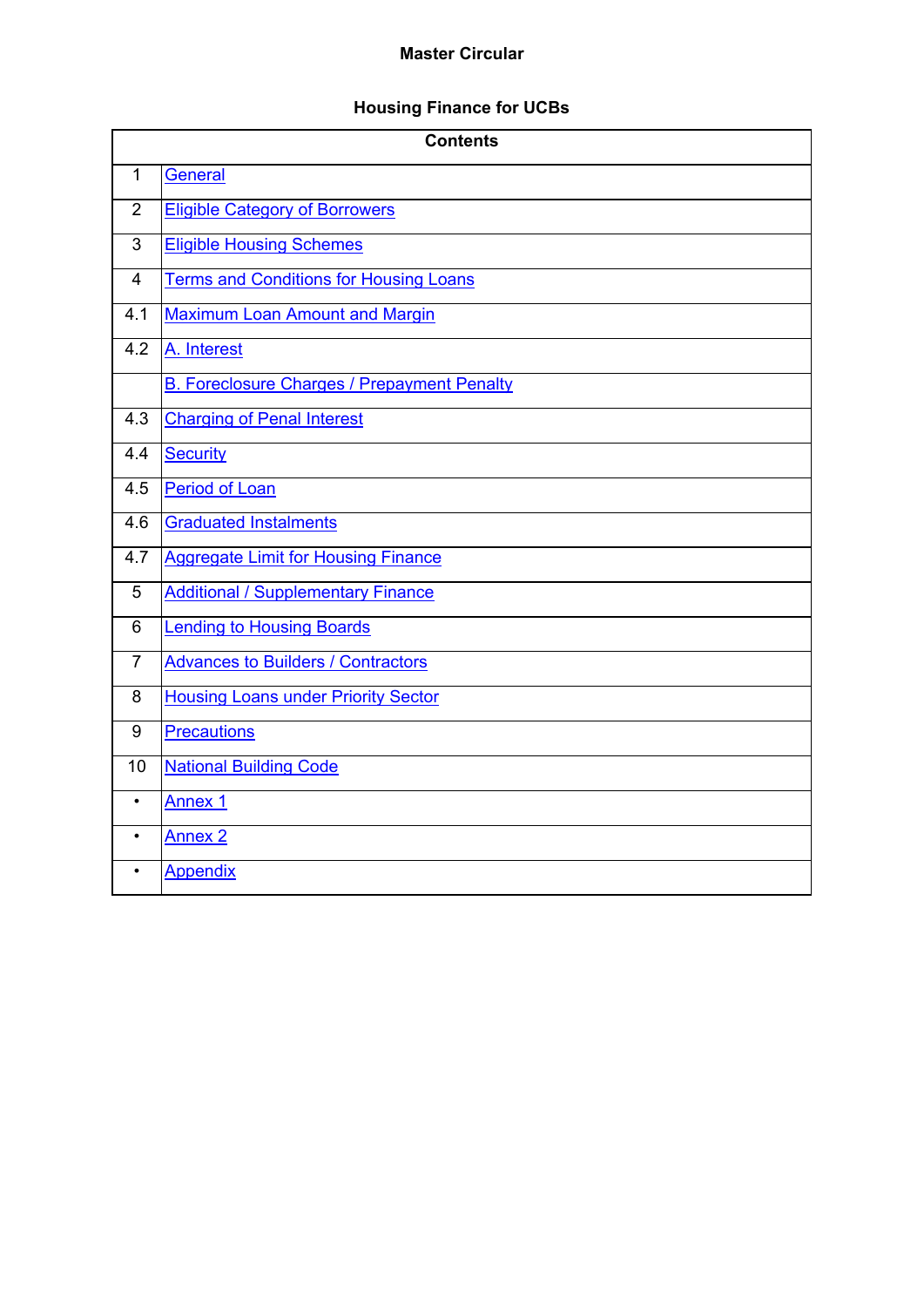## **Master Circular**

## **Housing Finance for UCBs**

<span id="page-1-0"></span>

| <b>Contents</b> |                                                    |  |
|-----------------|----------------------------------------------------|--|
| $\mathbf{1}$    | <b>General</b>                                     |  |
| $\overline{2}$  | <b>Eligible Category of Borrowers</b>              |  |
| 3               | <b>Eligible Housing Schemes</b>                    |  |
| $\overline{4}$  | <b>Terms and Conditions for Housing Loans</b>      |  |
| 4.1             | <b>Maximum Loan Amount and Margin</b>              |  |
| 4.2             | A. Interest                                        |  |
|                 | <b>B. Foreclosure Charges / Prepayment Penalty</b> |  |
| 4.3             | <b>Charging of Penal Interest</b>                  |  |
| 4.4             | <b>Security</b>                                    |  |
| 4.5             | <b>Period of Loan</b>                              |  |
| 4.6             | <b>Graduated Instalments</b>                       |  |
| 4.7             | <b>Aggregate Limit for Housing Finance</b>         |  |
| 5               | <b>Additional / Supplementary Finance</b>          |  |
| 6               | <b>Lending to Housing Boards</b>                   |  |
| $\overline{7}$  | <b>Advances to Builders / Contractors</b>          |  |
| 8               | <b>Housing Loans under Priority Sector</b>         |  |
| 9               | <b>Precautions</b>                                 |  |
| 10              | <b>National Building Code</b>                      |  |
| $\bullet$       | <b>Annex 1</b>                                     |  |
| $\bullet$       | <b>Annex 2</b>                                     |  |
| $\bullet$       | <b>Appendix</b>                                    |  |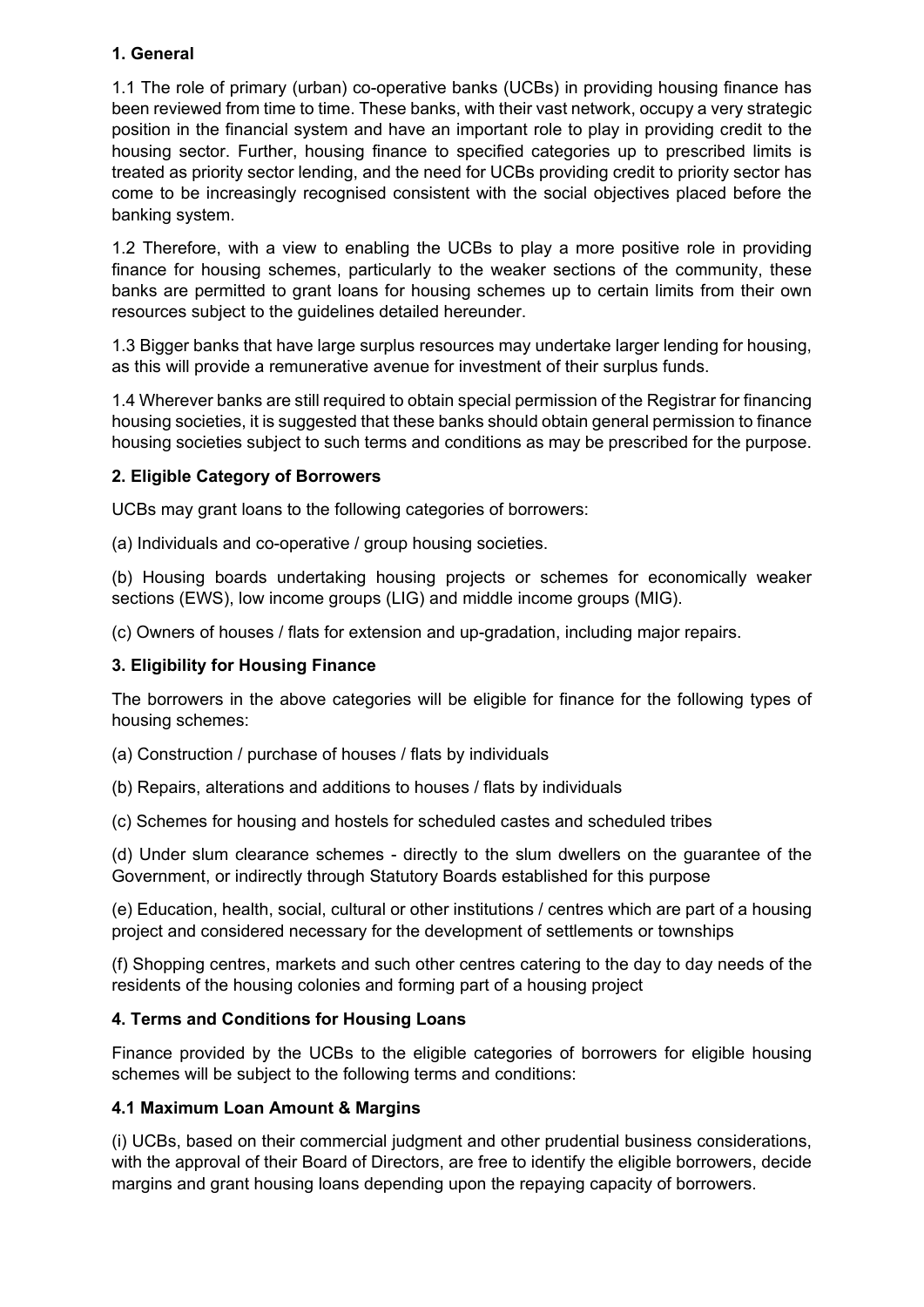## <span id="page-2-0"></span>**1. General**

1.1 The role of primary (urban) co-operative banks (UCBs) in providing housing finance has been reviewed from time to time. These banks, with their vast network, occupy a very strategic position in the financial system and have an important role to play in providing credit to the housing sector. Further, housing finance to specified categories up to prescribed limits is treated as priority sector lending, and the need for UCBs providing credit to priority sector has come to be increasingly recognised consistent with the social objectives placed before the banking system.

1.2 Therefore, with a view to enabling the UCBs to play a more positive role in providing finance for housing schemes, particularly to the weaker sections of the community, these banks are permitted to grant loans for housing schemes up to certain limits from their own resources subject to the guidelines detailed hereunder.

1.3 Bigger banks that have large surplus resources may undertake larger lending for housing, as this will provide a remunerative avenue for investment of their surplus funds.

1.4 Wherever banks are still required to obtain special permission of the Registrar for financing housing societies, it is suggested that these banks should obtain general permission to finance housing societies subject to such terms and conditions as may be prescribed for the purpose.

## <span id="page-2-1"></span>**2. Eligible Category of Borrowers**

UCBs may grant loans to the following categories of borrowers:

(a) Individuals and co-operative / group housing societies.

(b) Housing boards undertaking housing projects or schemes for economically weaker sections (EWS), low income groups (LIG) and middle income groups (MIG).

(c) Owners of houses / flats for extension and up-gradation, including major repairs.

## <span id="page-2-2"></span>**3. Eligibility for Housing Finance**

The borrowers in the above categories will be eligible for finance for the following types of housing schemes:

(a) Construction / purchase of houses / flats by individuals

(b) Repairs, alterations and additions to houses / flats by individuals

(c) Schemes for housing and hostels for scheduled castes and scheduled tribes

(d) Under slum clearance schemes - directly to the slum dwellers on the guarantee of the Government, or indirectly through Statutory Boards established for this purpose

(e) Education, health, social, cultural or other institutions / centres which are part of a housing project and considered necessary for the development of settlements or townships

(f) Shopping centres, markets and such other centres catering to the day to day needs of the residents of the housing colonies and forming part of a housing project

## <span id="page-2-3"></span>**4. Terms and Conditions for Housing Loans**

Finance provided by the UCBs to the eligible categories of borrowers for eligible housing schemes will be subject to the following terms and conditions:

## <span id="page-2-4"></span>**4.1 Maximum Loan Amount & Margins**

(i) UCBs, based on their commercial judgment and other prudential business considerations, with the approval of their Board of Directors, are free to identify the eligible borrowers, decide margins and grant housing loans depending upon the repaying capacity of borrowers.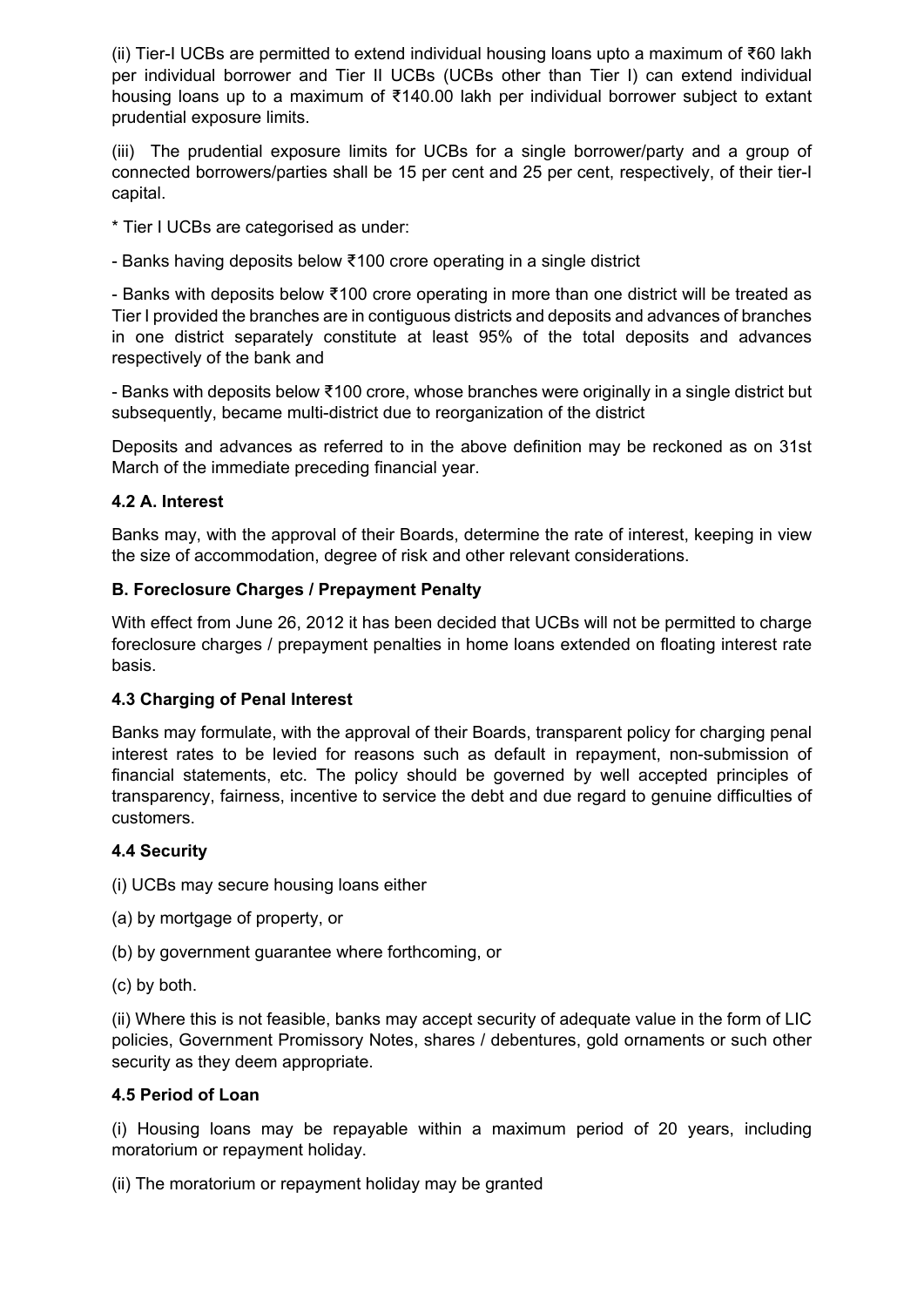(ii) Tier-I UCBs are permitted to extend individual housing loans upto a maximum of ₹60 lakh per individual borrower and Tier II UCBs (UCBs other than Tier I) can extend individual housing loans up to a maximum of ₹140.00 lakh per individual borrower subject to extant prudential exposure limits.

(iii) The prudential exposure limits for UCBs for a single borrower/party and a group of connected borrowers/parties shall be 15 per cent and 25 per cent, respectively, of their tier-I capital.

\* Tier I UCBs are categorised as under:

- Banks having deposits below ₹100 crore operating in a single district

- Banks with deposits below ₹100 crore operating in more than one district will be treated as Tier I provided the branches are in contiguous districts and deposits and advances of branches in one district separately constitute at least 95% of the total deposits and advances respectively of the bank and

- Banks with deposits below ₹100 crore, whose branches were originally in a single district but subsequently, became multi-district due to reorganization of the district

Deposits and advances as referred to in the above definition may be reckoned as on 31st March of the immediate preceding financial year.

## <span id="page-3-0"></span>**4.2 A. Interest**

Banks may, with the approval of their Boards, determine the rate of interest, keeping in view the size of accommodation, degree of risk and other relevant considerations.

#### <span id="page-3-1"></span>**B. Foreclosure Charges / Prepayment Penalty**

With effect from June 26, 2012 it has been decided that UCBs will not be permitted to charge foreclosure charges / prepayment penalties in home loans extended on floating interest rate basis.

#### <span id="page-3-2"></span>**4.3 Charging of Penal Interest**

Banks may formulate, with the approval of their Boards, transparent policy for charging penal interest rates to be levied for reasons such as default in repayment, non-submission of financial statements, etc. The policy should be governed by well accepted principles of transparency, fairness, incentive to service the debt and due regard to genuine difficulties of customers.

#### <span id="page-3-3"></span>**4.4 Security**

(i) UCBs may secure housing loans either

- (a) by mortgage of property, or
- (b) by government guarantee where forthcoming, or
- (c) by both.

(ii) Where this is not feasible, banks may accept security of adequate value in the form of LIC policies, Government Promissory Notes, shares / debentures, gold ornaments or such other security as they deem appropriate.

## <span id="page-3-4"></span>**4.5 Period of Loan**

(i) Housing loans may be repayable within a maximum period of 20 years, including moratorium or repayment holiday.

(ii) The moratorium or repayment holiday may be granted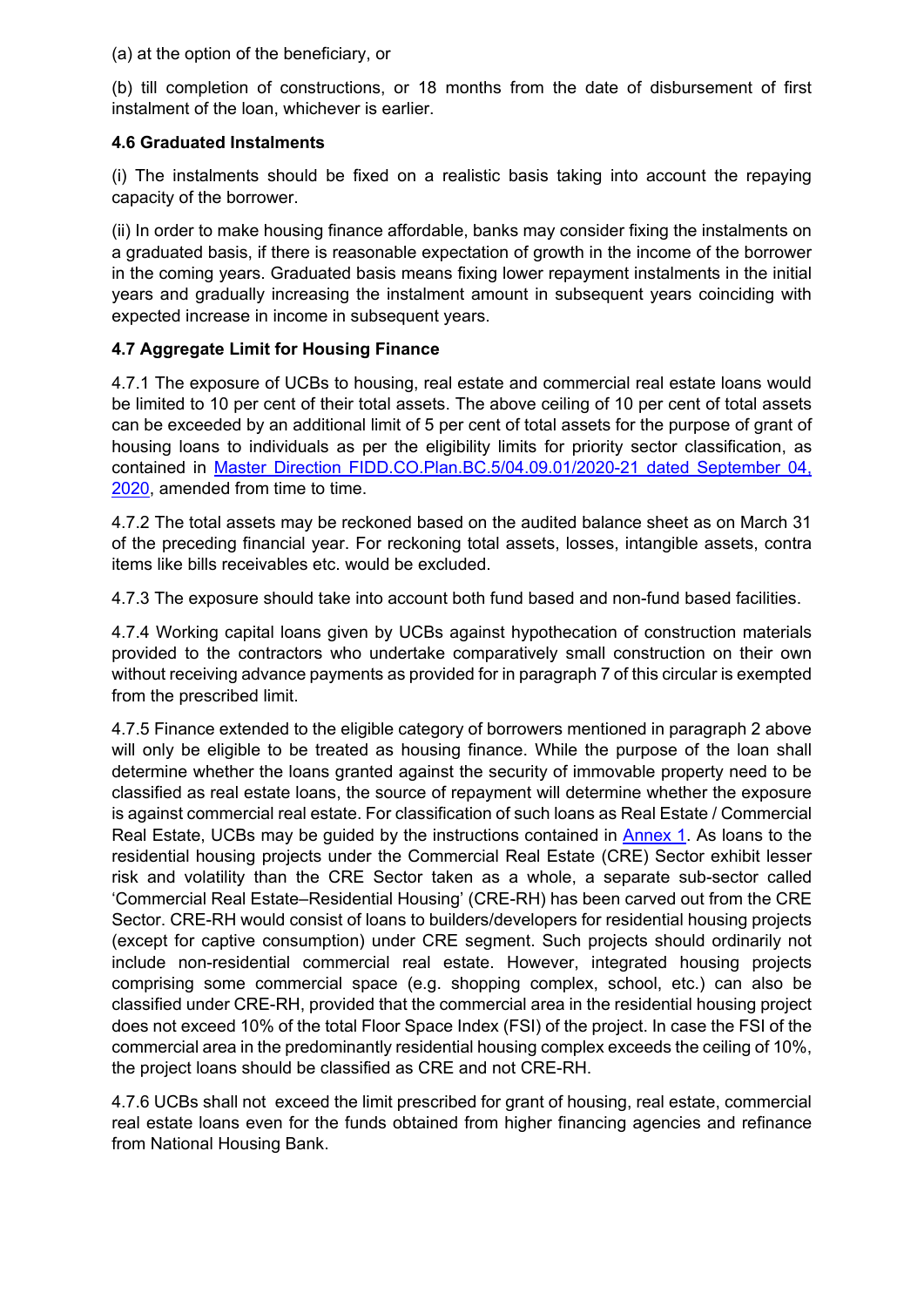(a) at the option of the beneficiary, or

(b) till completion of constructions, or 18 months from the date of disbursement of first instalment of the loan, whichever is earlier.

## <span id="page-4-0"></span>**4.6 Graduated Instalments**

(i) The instalments should be fixed on a realistic basis taking into account the repaying capacity of the borrower.

(ii) In order to make housing finance affordable, banks may consider fixing the instalments on a graduated basis, if there is reasonable expectation of growth in the income of the borrower in the coming years. Graduated basis means fixing lower repayment instalments in the initial years and gradually increasing the instalment amount in subsequent years coinciding with expected increase in income in subsequent years.

## <span id="page-4-1"></span>**4.7 Aggregate Limit for Housing Finance**

4.7.1 The exposure of UCBs to housing, real estate and commercial real estate loans would be limited to 10 per cent of their total assets. The above ceiling of 10 per cent of total assets can be exceeded by an additional limit of 5 per cent of total assets for the purpose of grant of housing loans to individuals as per the eligibility limits for priority sector classification, as contained in [Master Direction FIDD.CO.Plan.BC.5/04.09.01/2020-21 dated September 04,](https://www.rbi.org.in/Scripts/BS_ViewMasDirections.aspx?id=11959) [2020,](https://www.rbi.org.in/Scripts/BS_ViewMasDirections.aspx?id=11959) amended from time to time.

4.7.2 The total assets may be reckoned based on the audited balance sheet as on March 31 of the preceding financial year. For reckoning total assets, losses, intangible assets, contra items like bills receivables etc. would be excluded.

4.7.3 The exposure should take into account both fund based and non-fund based facilities.

4.7.4 Working capital loans given by UCBs against hypothecation of construction materials provided to the contractors who undertake comparatively small construction on their own without receiving advance payments as provided for in paragraph 7 of this circular is exempted from the prescribed limit.

4.7.5 Finance extended to the eligible category of borrowers mentioned in paragraph 2 above will only be eligible to be treated as housing finance. While the purpose of the loan shall determine whether the loans granted against the security of immovable property need to be classified as real estate loans, the source of repayment will determine whether the exposure is against commercial real estate. For classification of such loans as Real Estate / Commercial Real Estate, UCBs may be guided by the instructions contained in [Annex 1.](#page-8-0) As loans to the residential housing projects under the Commercial Real Estate (CRE) Sector exhibit lesser risk and volatility than the CRE Sector taken as a whole, a separate sub-sector called 'Commercial Real Estate–Residential Housing' (CRE-RH) has been carved out from the CRE Sector. CRE-RH would consist of loans to builders/developers for residential housing projects (except for captive consumption) under CRE segment. Such projects should ordinarily not include non-residential commercial real estate. However, integrated housing projects comprising some commercial space (e.g. shopping complex, school, etc.) can also be classified under CRE-RH, provided that the commercial area in the residential housing project does not exceed 10% of the total Floor Space Index (FSI) of the project. In case the FSI of the commercial area in the predominantly residential housing complex exceeds the ceiling of 10%, the project loans should be classified as CRE and not CRE-RH.

4.7.6 UCBs shall not exceed the limit prescribed for grant of housing, real estate, commercial real estate loans even for the funds obtained from higher financing agencies and refinance from National Housing Bank.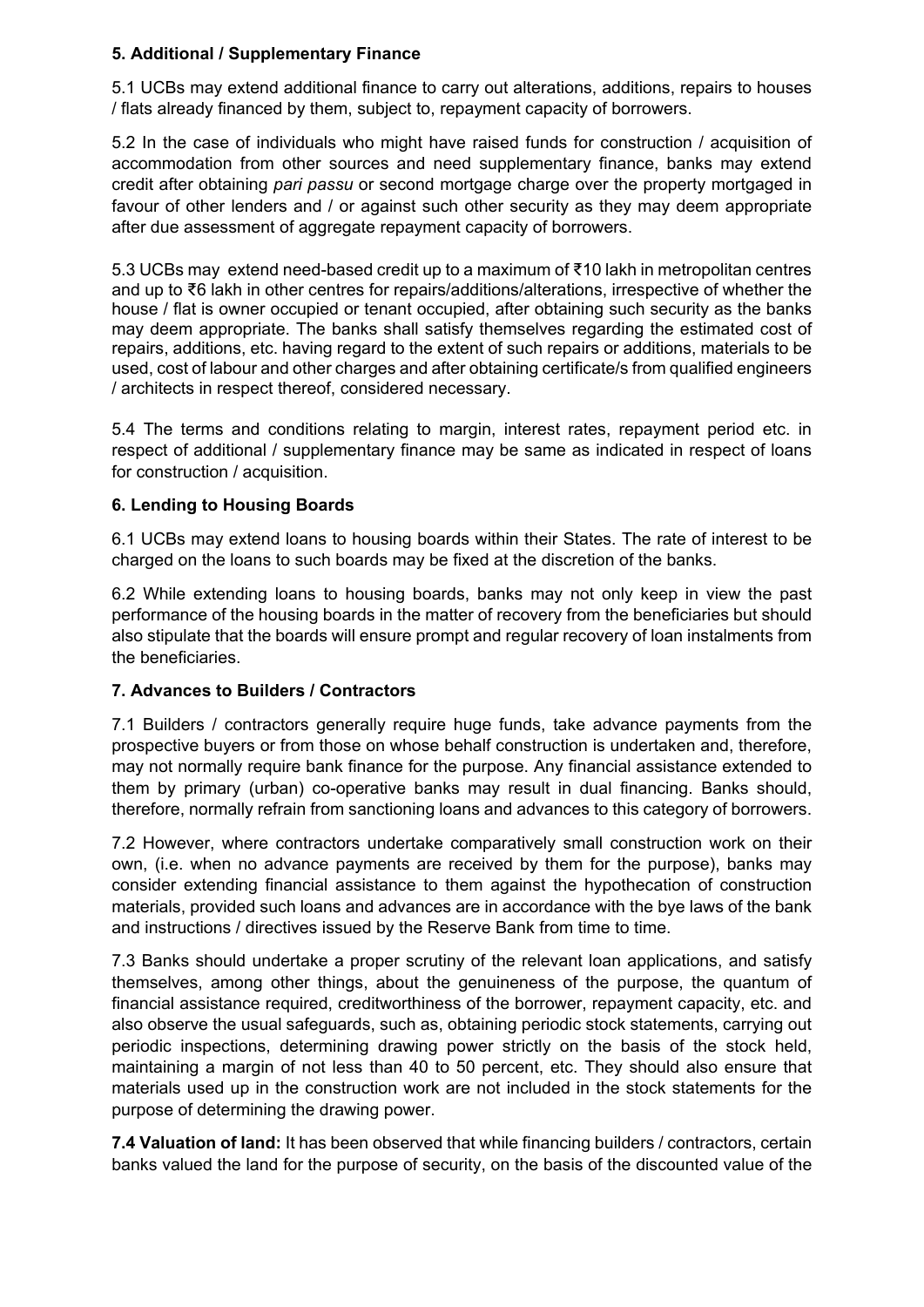## <span id="page-5-0"></span>**5. Additional / Supplementary Finance**

5.1 UCBs may extend additional finance to carry out alterations, additions, repairs to houses / flats already financed by them, subject to, repayment capacity of borrowers.

5.2 In the case of individuals who might have raised funds for construction / acquisition of accommodation from other sources and need supplementary finance, banks may extend credit after obtaining *pari passu* or second mortgage charge over the property mortgaged in favour of other lenders and / or against such other security as they may deem appropriate after due assessment of aggregate repayment capacity of borrowers.

5.3 UCBs may extend need-based credit up to a maximum of ₹10 lakh in metropolitan centres and up to ₹6 lakh in other centres for repairs/additions/alterations, irrespective of whether the house / flat is owner occupied or tenant occupied, after obtaining such security as the banks may deem appropriate. The banks shall satisfy themselves regarding the estimated cost of repairs, additions, etc. having regard to the extent of such repairs or additions, materials to be used, cost of labour and other charges and after obtaining certificate/s from qualified engineers / architects in respect thereof, considered necessary.

5.4 The terms and conditions relating to margin, interest rates, repayment period etc. in respect of additional / supplementary finance may be same as indicated in respect of loans for construction / acquisition.

## <span id="page-5-1"></span>**6. Lending to Housing Boards**

6.1 UCBs may extend loans to housing boards within their States. The rate of interest to be charged on the loans to such boards may be fixed at the discretion of the banks.

6.2 While extending loans to housing boards, banks may not only keep in view the past performance of the housing boards in the matter of recovery from the beneficiaries but should also stipulate that the boards will ensure prompt and regular recovery of loan instalments from the beneficiaries.

## <span id="page-5-2"></span>**7. Advances to Builders / Contractors**

7.1 Builders / contractors generally require huge funds, take advance payments from the prospective buyers or from those on whose behalf construction is undertaken and, therefore, may not normally require bank finance for the purpose. Any financial assistance extended to them by primary (urban) co-operative banks may result in dual financing. Banks should, therefore, normally refrain from sanctioning loans and advances to this category of borrowers.

7.2 However, where contractors undertake comparatively small construction work on their own, (i.e. when no advance payments are received by them for the purpose), banks may consider extending financial assistance to them against the hypothecation of construction materials, provided such loans and advances are in accordance with the bye laws of the bank and instructions / directives issued by the Reserve Bank from time to time.

7.3 Banks should undertake a proper scrutiny of the relevant loan applications, and satisfy themselves, among other things, about the genuineness of the purpose, the quantum of financial assistance required, creditworthiness of the borrower, repayment capacity, etc. and also observe the usual safeguards, such as, obtaining periodic stock statements, carrying out periodic inspections, determining drawing power strictly on the basis of the stock held, maintaining a margin of not less than 40 to 50 percent, etc. They should also ensure that materials used up in the construction work are not included in the stock statements for the purpose of determining the drawing power.

**7.4 Valuation of land:** It has been observed that while financing builders / contractors, certain banks valued the land for the purpose of security, on the basis of the discounted value of the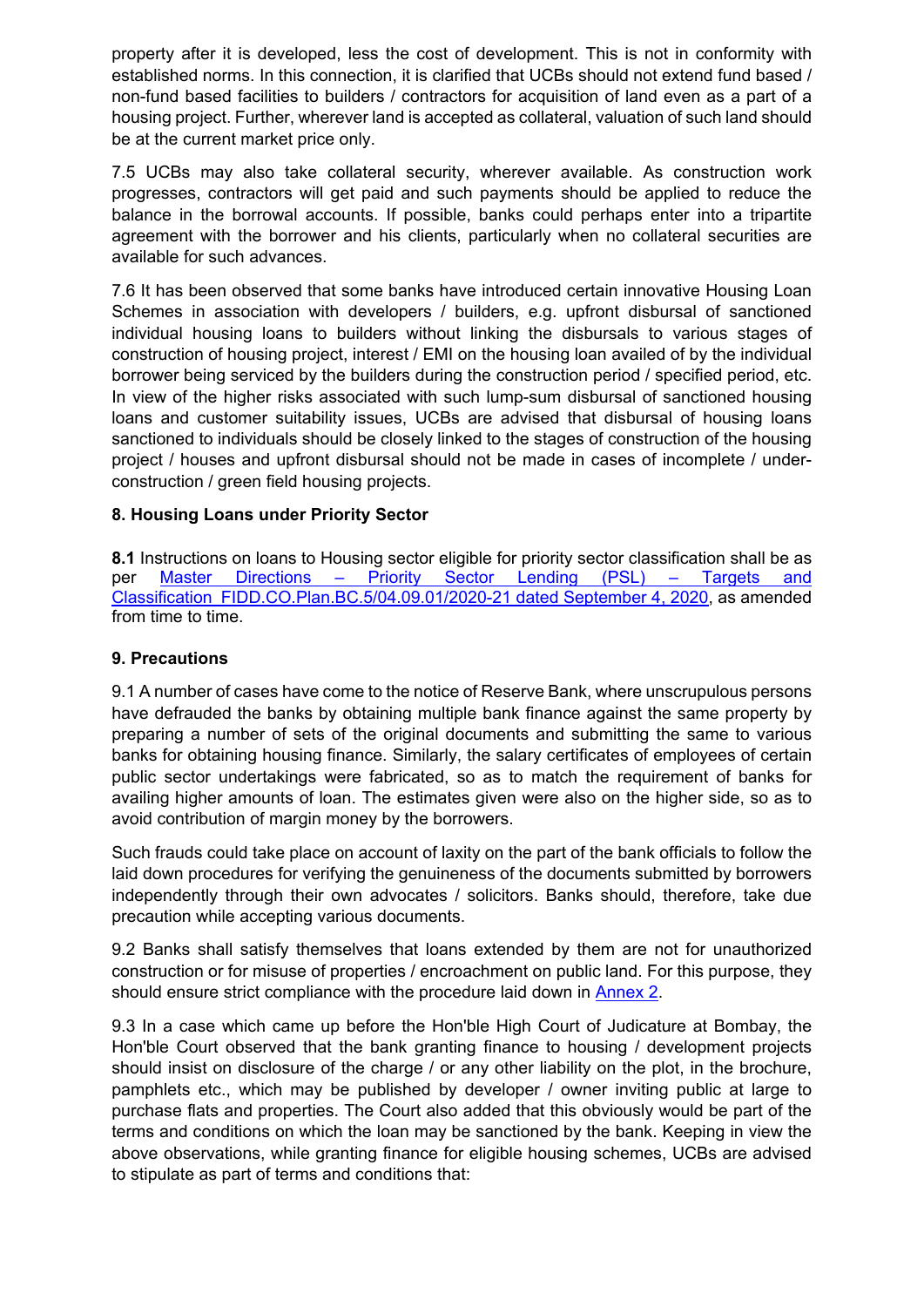property after it is developed, less the cost of development. This is not in conformity with established norms. In this connection, it is clarified that UCBs should not extend fund based / non-fund based facilities to builders / contractors for acquisition of land even as a part of a housing project. Further, wherever land is accepted as collateral, valuation of such land should be at the current market price only.

7.5 UCBs may also take collateral security, wherever available. As construction work progresses, contractors will get paid and such payments should be applied to reduce the balance in the borrowal accounts. If possible, banks could perhaps enter into a tripartite agreement with the borrower and his clients, particularly when no collateral securities are available for such advances.

7.6 It has been observed that some banks have introduced certain innovative Housing Loan Schemes in association with developers / builders, e.g. upfront disbursal of sanctioned individual housing loans to builders without linking the disbursals to various stages of construction of housing project, interest / EMI on the housing loan availed of by the individual borrower being serviced by the builders during the construction period / specified period, etc. In view of the higher risks associated with such lump-sum disbursal of sanctioned housing loans and customer suitability issues, UCBs are advised that disbursal of housing loans sanctioned to individuals should be closely linked to the stages of construction of the housing project / houses and upfront disbursal should not be made in cases of incomplete / underconstruction / green field housing projects.

## <span id="page-6-0"></span>**8. Housing Loans under Priority Sector**

**8.1** Instructions on loans to Housing sector eligible for priority sector classification shall be as per Master Directions – Priority Sector Lending (PSL) – Targets and Master Directions – Priority Sector Lending (PSL) – Targets and [Classification FIDD.CO.Plan.BC.5/04.09.01/2020-21 dated September 4, 2020,](https://www.rbi.org.in/Scripts/BS_ViewMasDirections.aspx?id=11959) as amended from time to time.

#### <span id="page-6-1"></span>**9. Precautions**

9.1 A number of cases have come to the notice of Reserve Bank, where unscrupulous persons have defrauded the banks by obtaining multiple bank finance against the same property by preparing a number of sets of the original documents and submitting the same to various banks for obtaining housing finance. Similarly, the salary certificates of employees of certain public sector undertakings were fabricated, so as to match the requirement of banks for availing higher amounts of loan. The estimates given were also on the higher side, so as to avoid contribution of margin money by the borrowers.

Such frauds could take place on account of laxity on the part of the bank officials to follow the laid down procedures for verifying the genuineness of the documents submitted by borrowers independently through their own advocates / solicitors. Banks should, therefore, take due precaution while accepting various documents.

9.2 Banks shall satisfy themselves that loans extended by them are not for unauthorized construction or for misuse of properties / encroachment on public land. For this purpose, they should ensure strict compliance with the procedure laid down in [Annex 2.](#page-12-0)

9.3 In a case which came up before the Hon'ble High Court of Judicature at Bombay, the Hon'ble Court observed that the bank granting finance to housing / development projects should insist on disclosure of the charge / or any other liability on the plot, in the brochure, pamphlets etc., which may be published by developer / owner inviting public at large to purchase flats and properties. The Court also added that this obviously would be part of the terms and conditions on which the loan may be sanctioned by the bank. Keeping in view the above observations, while granting finance for eligible housing schemes, UCBs are advised to stipulate as part of terms and conditions that: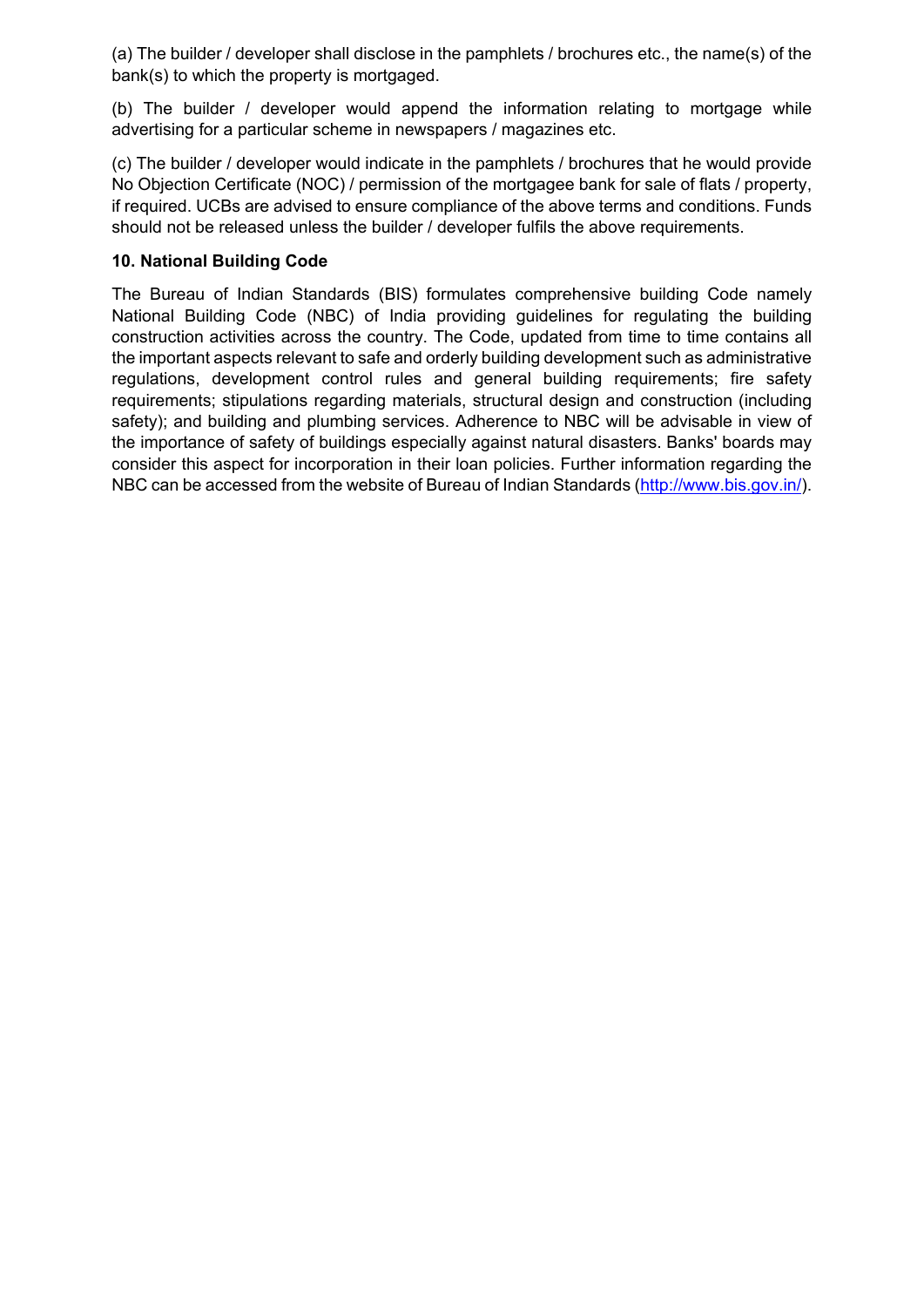(a) The builder / developer shall disclose in the pamphlets / brochures etc., the name(s) of the bank(s) to which the property is mortgaged.

(b) The builder / developer would append the information relating to mortgage while advertising for a particular scheme in newspapers / magazines etc.

(c) The builder / developer would indicate in the pamphlets / brochures that he would provide No Objection Certificate (NOC) / permission of the mortgagee bank for sale of flats / property, if required. UCBs are advised to ensure compliance of the above terms and conditions. Funds should not be released unless the builder / developer fulfils the above requirements.

## <span id="page-7-0"></span>**10. National Building Code**

The Bureau of Indian Standards (BIS) formulates comprehensive building Code namely National Building Code (NBC) of India providing guidelines for regulating the building construction activities across the country. The Code, updated from time to time contains all the important aspects relevant to safe and orderly building development such as administrative regulations, development control rules and general building requirements; fire safety requirements; stipulations regarding materials, structural design and construction (including safety); and building and plumbing services. Adherence to NBC will be advisable in view of the importance of safety of buildings especially against natural disasters. Banks' boards may consider this aspect for incorporation in their loan policies. Further information regarding the NBC can be accessed from the website of Bureau of Indian Standards [\(http://www.bis.gov.in/\)](https://www.bis.gov.in/).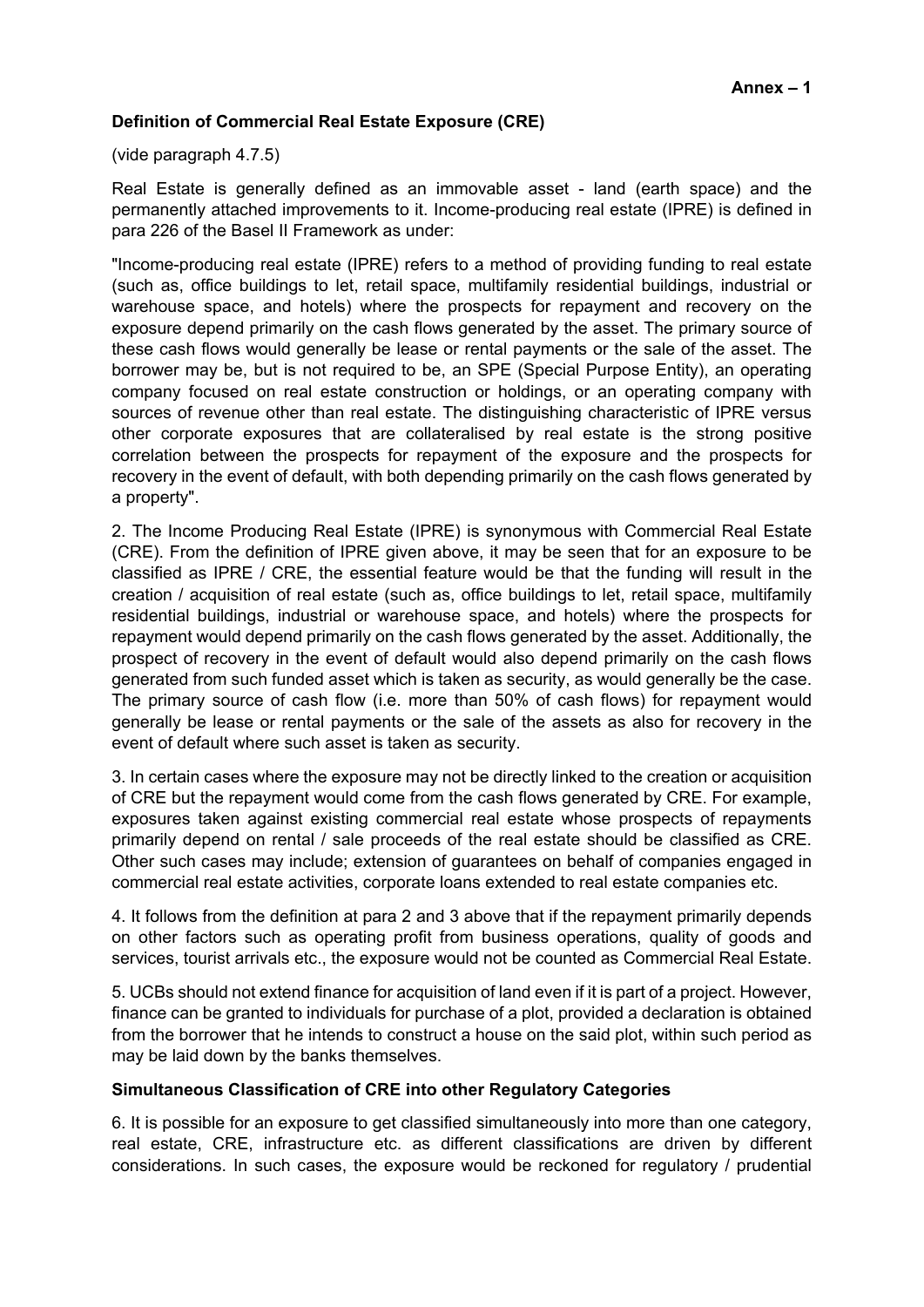#### <span id="page-8-0"></span>**Definition of Commercial Real Estate Exposure (CRE)**

(vide paragraph 4.7.5)

Real Estate is generally defined as an immovable asset - land (earth space) and the permanently attached improvements to it. Income-producing real estate (IPRE) is defined in para 226 of the Basel II Framework as under:

"Income-producing real estate (IPRE) refers to a method of providing funding to real estate (such as, office buildings to let, retail space, multifamily residential buildings, industrial or warehouse space, and hotels) where the prospects for repayment and recovery on the exposure depend primarily on the cash flows generated by the asset. The primary source of these cash flows would generally be lease or rental payments or the sale of the asset. The borrower may be, but is not required to be, an SPE (Special Purpose Entity), an operating company focused on real estate construction or holdings, or an operating company with sources of revenue other than real estate. The distinguishing characteristic of IPRE versus other corporate exposures that are collateralised by real estate is the strong positive correlation between the prospects for repayment of the exposure and the prospects for recovery in the event of default, with both depending primarily on the cash flows generated by a property".

2. The Income Producing Real Estate (IPRE) is synonymous with Commercial Real Estate (CRE). From the definition of IPRE given above, it may be seen that for an exposure to be classified as IPRE / CRE, the essential feature would be that the funding will result in the creation / acquisition of real estate (such as, office buildings to let, retail space, multifamily residential buildings, industrial or warehouse space, and hotels) where the prospects for repayment would depend primarily on the cash flows generated by the asset. Additionally, the prospect of recovery in the event of default would also depend primarily on the cash flows generated from such funded asset which is taken as security, as would generally be the case. The primary source of cash flow (i.e. more than 50% of cash flows) for repayment would generally be lease or rental payments or the sale of the assets as also for recovery in the event of default where such asset is taken as security.

3. In certain cases where the exposure may not be directly linked to the creation or acquisition of CRE but the repayment would come from the cash flows generated by CRE. For example, exposures taken against existing commercial real estate whose prospects of repayments primarily depend on rental / sale proceeds of the real estate should be classified as CRE. Other such cases may include; extension of guarantees on behalf of companies engaged in commercial real estate activities, corporate loans extended to real estate companies etc.

4. It follows from the definition at para 2 and 3 above that if the repayment primarily depends on other factors such as operating profit from business operations, quality of goods and services, tourist arrivals etc., the exposure would not be counted as Commercial Real Estate.

5. UCBs should not extend finance for acquisition of land even if it is part of a project. However, finance can be granted to individuals for purchase of a plot, provided a declaration is obtained from the borrower that he intends to construct a house on the said plot, within such period as may be laid down by the banks themselves.

#### **Simultaneous Classification of CRE into other Regulatory Categories**

6. It is possible for an exposure to get classified simultaneously into more than one category, real estate, CRE, infrastructure etc. as different classifications are driven by different considerations. In such cases, the exposure would be reckoned for regulatory / prudential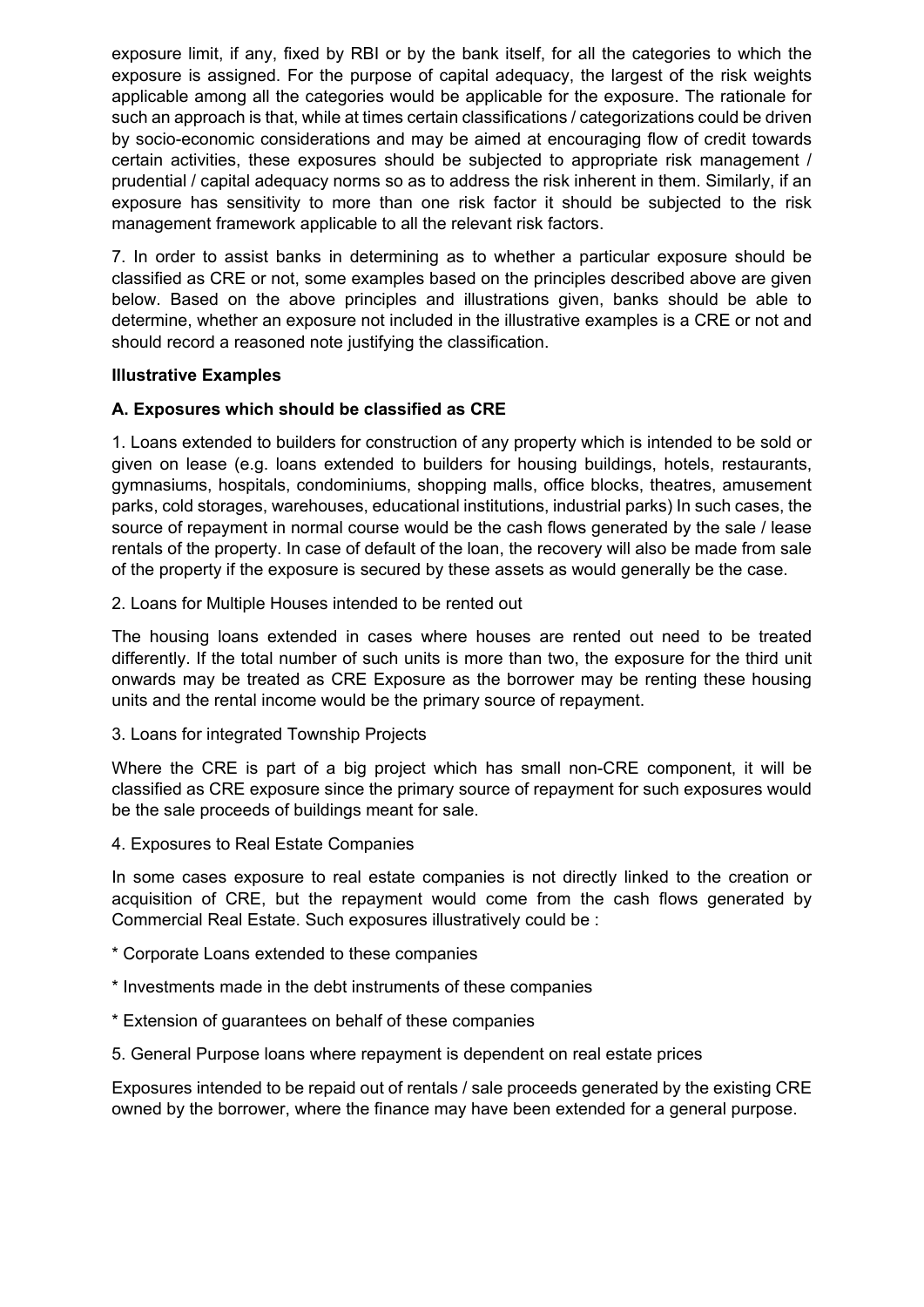exposure limit, if any, fixed by RBI or by the bank itself, for all the categories to which the exposure is assigned. For the purpose of capital adequacy, the largest of the risk weights applicable among all the categories would be applicable for the exposure. The rationale for such an approach is that, while at times certain classifications / categorizations could be driven by socio-economic considerations and may be aimed at encouraging flow of credit towards certain activities, these exposures should be subjected to appropriate risk management / prudential / capital adequacy norms so as to address the risk inherent in them. Similarly, if an exposure has sensitivity to more than one risk factor it should be subjected to the risk management framework applicable to all the relevant risk factors.

7. In order to assist banks in determining as to whether a particular exposure should be classified as CRE or not, some examples based on the principles described above are given below. Based on the above principles and illustrations given, banks should be able to determine, whether an exposure not included in the illustrative examples is a CRE or not and should record a reasoned note justifying the classification.

## **Illustrative Examples**

## **A. Exposures which should be classified as CRE**

1. Loans extended to builders for construction of any property which is intended to be sold or given on lease (e.g. loans extended to builders for housing buildings, hotels, restaurants, gymnasiums, hospitals, condominiums, shopping malls, office blocks, theatres, amusement parks, cold storages, warehouses, educational institutions, industrial parks) In such cases, the source of repayment in normal course would be the cash flows generated by the sale / lease rentals of the property. In case of default of the loan, the recovery will also be made from sale of the property if the exposure is secured by these assets as would generally be the case.

2. Loans for Multiple Houses intended to be rented out

The housing loans extended in cases where houses are rented out need to be treated differently. If the total number of such units is more than two, the exposure for the third unit onwards may be treated as CRE Exposure as the borrower may be renting these housing units and the rental income would be the primary source of repayment.

3. Loans for integrated Township Projects

Where the CRE is part of a big project which has small non-CRE component, it will be classified as CRE exposure since the primary source of repayment for such exposures would be the sale proceeds of buildings meant for sale.

4. Exposures to Real Estate Companies

In some cases exposure to real estate companies is not directly linked to the creation or acquisition of CRE, but the repayment would come from the cash flows generated by Commercial Real Estate. Such exposures illustratively could be :

- \* Corporate Loans extended to these companies
- \* Investments made in the debt instruments of these companies
- \* Extension of guarantees on behalf of these companies
- 5. General Purpose loans where repayment is dependent on real estate prices

Exposures intended to be repaid out of rentals / sale proceeds generated by the existing CRE owned by the borrower, where the finance may have been extended for a general purpose.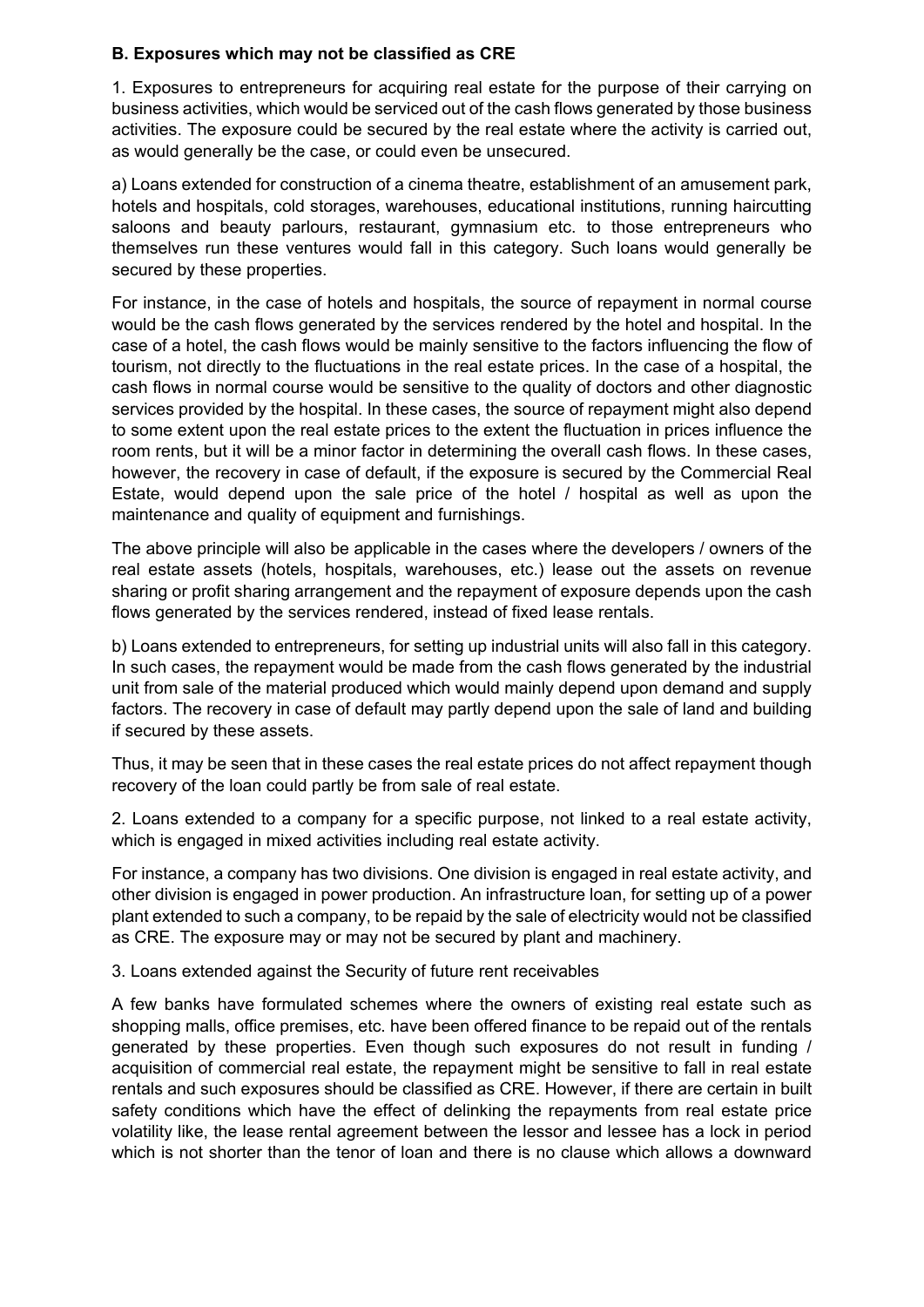## **B. Exposures which may not be classified as CRE**

1. Exposures to entrepreneurs for acquiring real estate for the purpose of their carrying on business activities, which would be serviced out of the cash flows generated by those business activities. The exposure could be secured by the real estate where the activity is carried out, as would generally be the case, or could even be unsecured.

a) Loans extended for construction of a cinema theatre, establishment of an amusement park, hotels and hospitals, cold storages, warehouses, educational institutions, running haircutting saloons and beauty parlours, restaurant, gymnasium etc. to those entrepreneurs who themselves run these ventures would fall in this category. Such loans would generally be secured by these properties.

For instance, in the case of hotels and hospitals, the source of repayment in normal course would be the cash flows generated by the services rendered by the hotel and hospital. In the case of a hotel, the cash flows would be mainly sensitive to the factors influencing the flow of tourism, not directly to the fluctuations in the real estate prices. In the case of a hospital, the cash flows in normal course would be sensitive to the quality of doctors and other diagnostic services provided by the hospital. In these cases, the source of repayment might also depend to some extent upon the real estate prices to the extent the fluctuation in prices influence the room rents, but it will be a minor factor in determining the overall cash flows. In these cases, however, the recovery in case of default, if the exposure is secured by the Commercial Real Estate, would depend upon the sale price of the hotel / hospital as well as upon the maintenance and quality of equipment and furnishings.

The above principle will also be applicable in the cases where the developers / owners of the real estate assets (hotels, hospitals, warehouses, etc.) lease out the assets on revenue sharing or profit sharing arrangement and the repayment of exposure depends upon the cash flows generated by the services rendered, instead of fixed lease rentals.

b) Loans extended to entrepreneurs, for setting up industrial units will also fall in this category. In such cases, the repayment would be made from the cash flows generated by the industrial unit from sale of the material produced which would mainly depend upon demand and supply factors. The recovery in case of default may partly depend upon the sale of land and building if secured by these assets.

Thus, it may be seen that in these cases the real estate prices do not affect repayment though recovery of the loan could partly be from sale of real estate.

2. Loans extended to a company for a specific purpose, not linked to a real estate activity, which is engaged in mixed activities including real estate activity.

For instance, a company has two divisions. One division is engaged in real estate activity, and other division is engaged in power production. An infrastructure loan, for setting up of a power plant extended to such a company, to be repaid by the sale of electricity would not be classified as CRE. The exposure may or may not be secured by plant and machinery.

3. Loans extended against the Security of future rent receivables

A few banks have formulated schemes where the owners of existing real estate such as shopping malls, office premises, etc. have been offered finance to be repaid out of the rentals generated by these properties. Even though such exposures do not result in funding / acquisition of commercial real estate, the repayment might be sensitive to fall in real estate rentals and such exposures should be classified as CRE. However, if there are certain in built safety conditions which have the effect of delinking the repayments from real estate price volatility like, the lease rental agreement between the lessor and lessee has a lock in period which is not shorter than the tenor of loan and there is no clause which allows a downward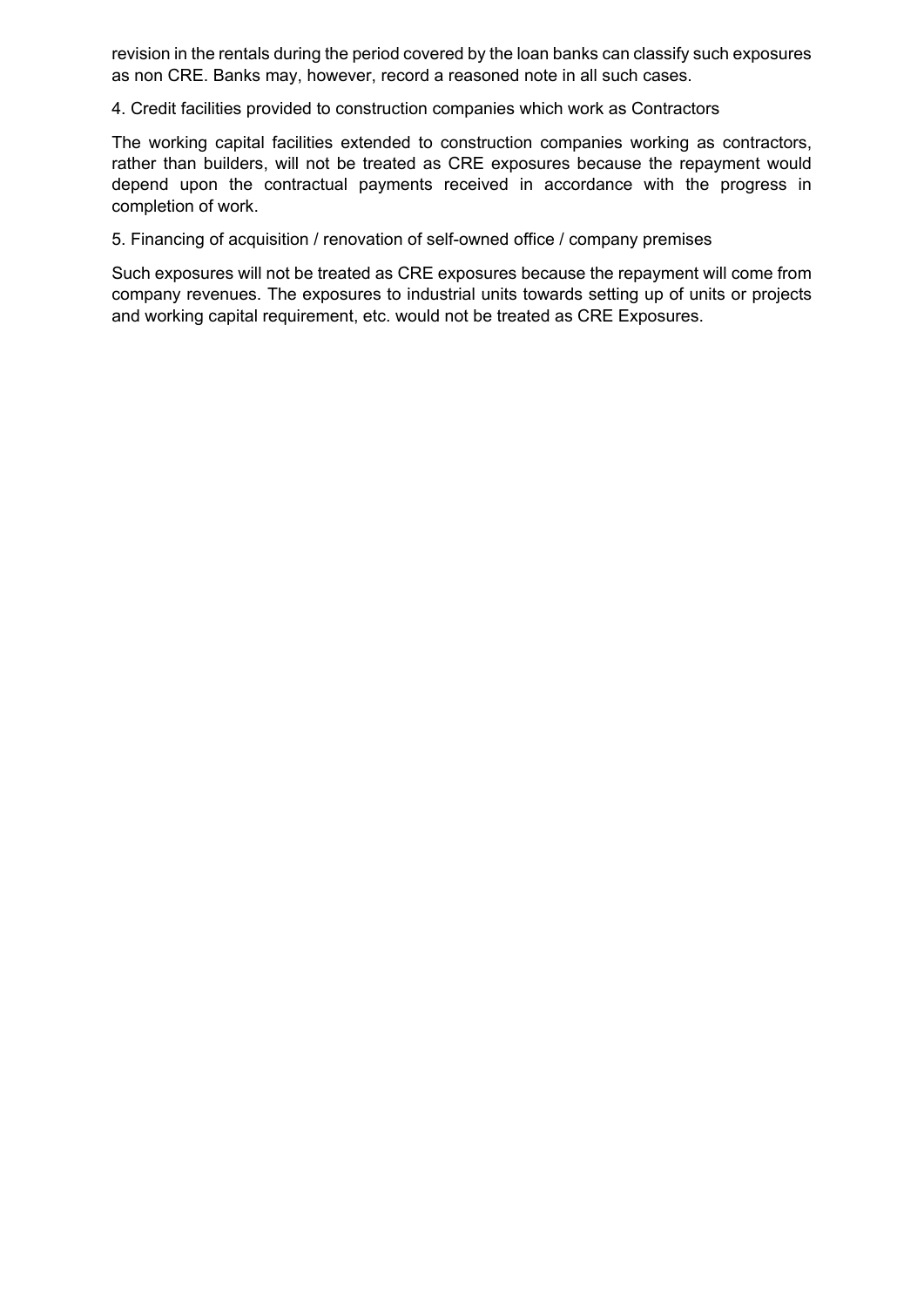revision in the rentals during the period covered by the loan banks can classify such exposures as non CRE. Banks may, however, record a reasoned note in all such cases.

4. Credit facilities provided to construction companies which work as Contractors

The working capital facilities extended to construction companies working as contractors, rather than builders, will not be treated as CRE exposures because the repayment would depend upon the contractual payments received in accordance with the progress in completion of work.

5. Financing of acquisition / renovation of self-owned office / company premises

Such exposures will not be treated as CRE exposures because the repayment will come from company revenues. The exposures to industrial units towards setting up of units or projects and working capital requirement, etc. would not be treated as CRE Exposures.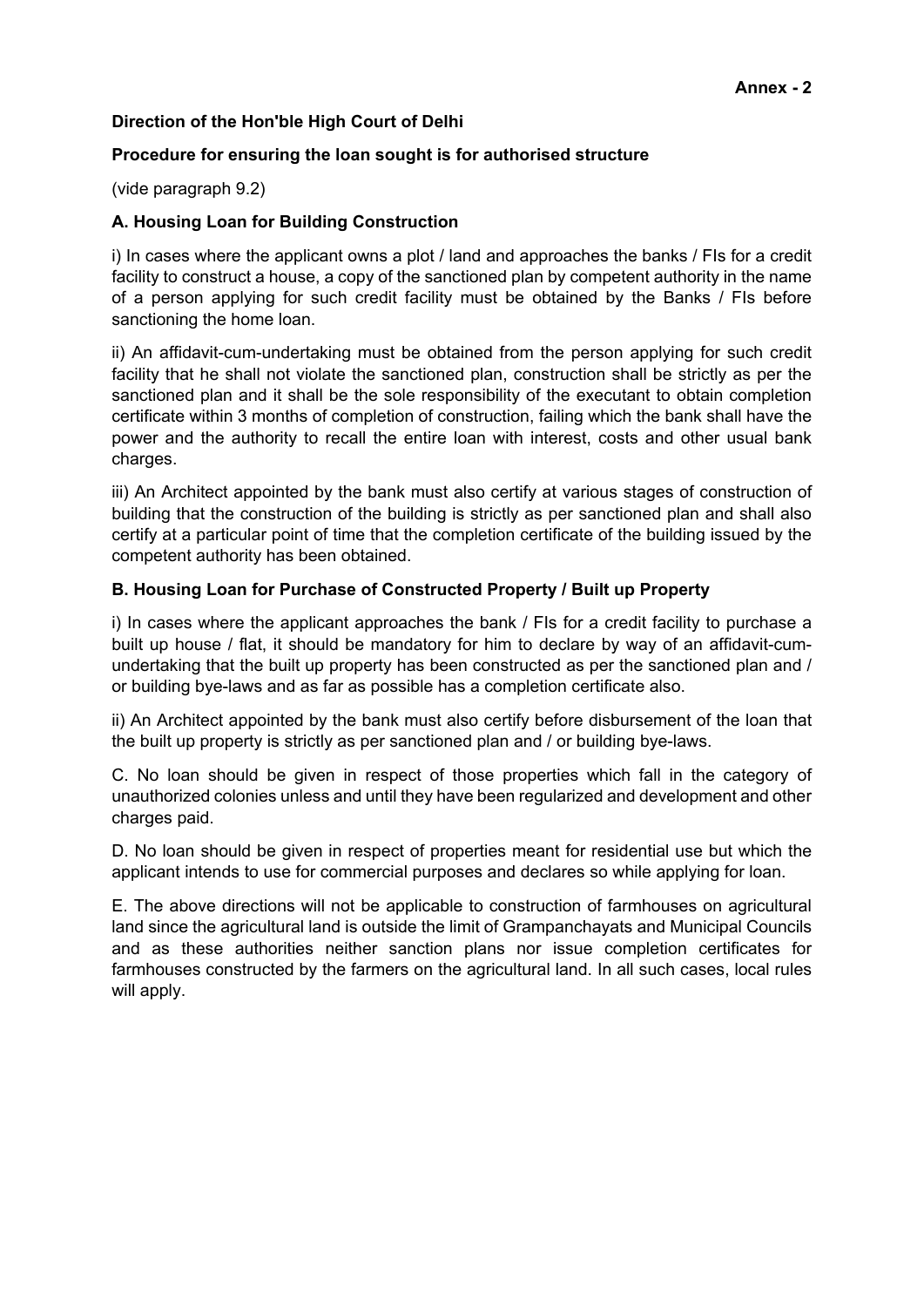## <span id="page-12-0"></span>**Direction of the Hon'ble High Court of Delhi**

### **Procedure for ensuring the loan sought is for authorised structure**

(vide paragraph 9.2)

#### **A. Housing Loan for Building Construction**

i) In cases where the applicant owns a plot / land and approaches the banks / FIs for a credit facility to construct a house, a copy of the sanctioned plan by competent authority in the name of a person applying for such credit facility must be obtained by the Banks / FIs before sanctioning the home loan.

ii) An affidavit-cum-undertaking must be obtained from the person applying for such credit facility that he shall not violate the sanctioned plan, construction shall be strictly as per the sanctioned plan and it shall be the sole responsibility of the executant to obtain completion certificate within 3 months of completion of construction, failing which the bank shall have the power and the authority to recall the entire loan with interest, costs and other usual bank charges.

iii) An Architect appointed by the bank must also certify at various stages of construction of building that the construction of the building is strictly as per sanctioned plan and shall also certify at a particular point of time that the completion certificate of the building issued by the competent authority has been obtained.

#### **B. Housing Loan for Purchase of Constructed Property / Built up Property**

i) In cases where the applicant approaches the bank / FIs for a credit facility to purchase a built up house / flat, it should be mandatory for him to declare by way of an affidavit-cumundertaking that the built up property has been constructed as per the sanctioned plan and / or building bye-laws and as far as possible has a completion certificate also.

ii) An Architect appointed by the bank must also certify before disbursement of the loan that the built up property is strictly as per sanctioned plan and / or building bye-laws.

C. No loan should be given in respect of those properties which fall in the category of unauthorized colonies unless and until they have been regularized and development and other charges paid.

D. No loan should be given in respect of properties meant for residential use but which the applicant intends to use for commercial purposes and declares so while applying for loan.

E. The above directions will not be applicable to construction of farmhouses on agricultural land since the agricultural land is outside the limit of Grampanchayats and Municipal Councils and as these authorities neither sanction plans nor issue completion certificates for farmhouses constructed by the farmers on the agricultural land. In all such cases, local rules will apply.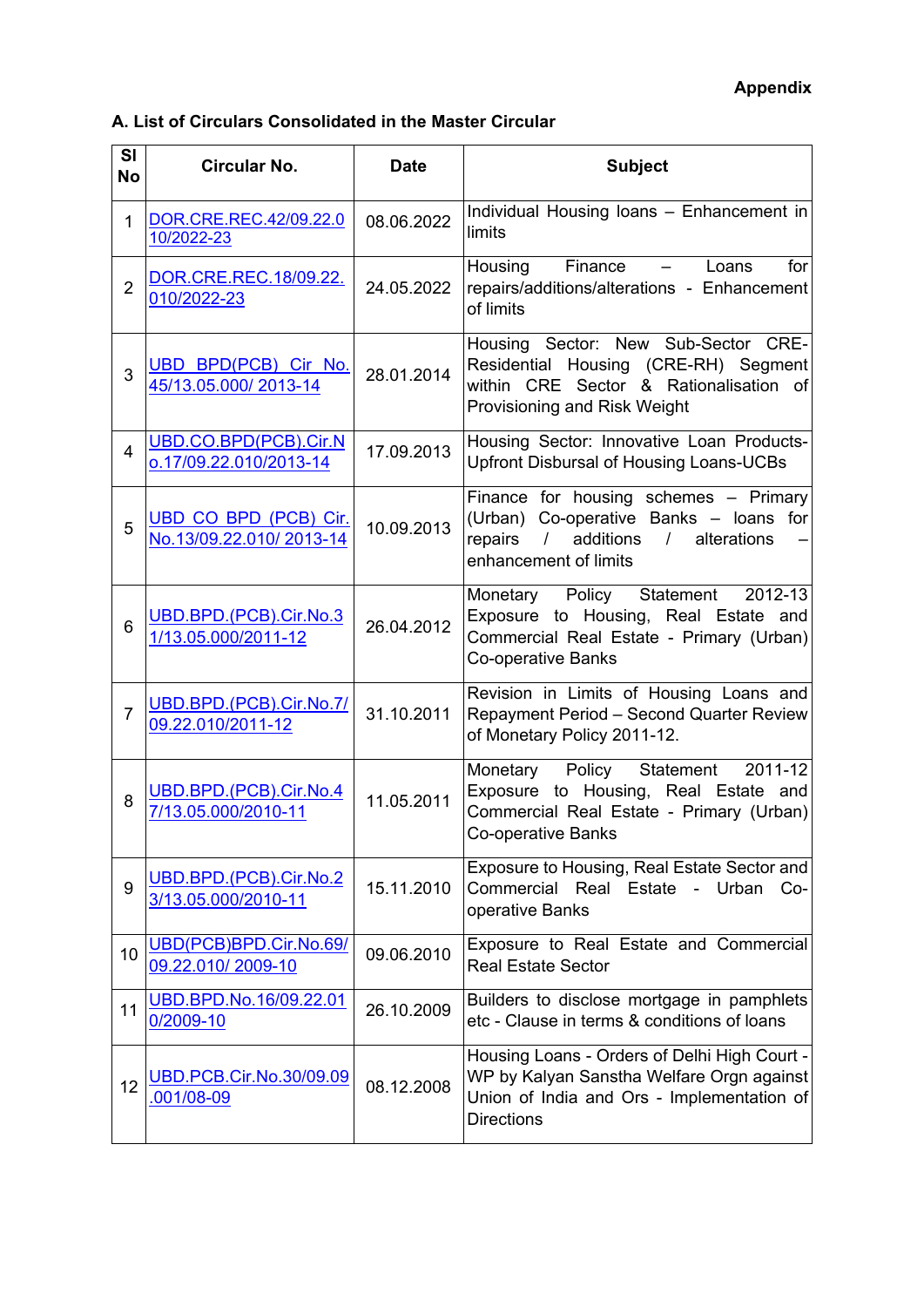# <span id="page-13-0"></span>**A. List of Circulars Consolidated in the Master Circular**

| SI<br>No       | <b>Circular No.</b>                              | <b>Date</b> | <b>Subject</b>                                                                                                                                                  |
|----------------|--------------------------------------------------|-------------|-----------------------------------------------------------------------------------------------------------------------------------------------------------------|
| 1              | DOR.CRE.REC.42/09.22.0<br>10/2022-23             | 08.06.2022  | Individual Housing loans - Enhancement in<br>limits                                                                                                             |
| $\overline{2}$ | DOR.CRE.REC.18/09.22.<br>010/2022-23             | 24.05.2022  | Housing Finance –<br>for<br>Loans<br>repairs/additions/alterations - Enhancement<br>of limits                                                                   |
| 3              | UBD BPD(PCB) Cir No.<br>45/13.05.000/2013-14     | 28.01.2014  | Housing Sector: New Sub-Sector CRE-<br>Residential Housing (CRE-RH) Segment<br>within CRE Sector & Rationalisation of<br>Provisioning and Risk Weight           |
| $\overline{4}$ | UBD.CO.BPD(PCB).Cir.N<br>o.17/09.22.010/2013-14  | 17.09.2013  | Housing Sector: Innovative Loan Products-<br><b>Upfront Disbursal of Housing Loans-UCBs</b>                                                                     |
| 5              | UBD CO BPD (PCB) Cir.<br>No.13/09.22.010/2013-14 | 10.09.2013  | Finance for housing schemes - Primary<br>(Urban) Co-operative Banks - loans for<br>repairs<br>additions<br>$\sqrt{2}$<br>/ alterations<br>enhancement of limits |
| 6              | UBD.BPD.(PCB).Cir.No.3<br>1/13.05.000/2011-12    | 26.04.2012  | Monetary Policy Statement<br>2012-13<br>Exposure to Housing, Real Estate and<br>Commercial Real Estate - Primary (Urban)<br><b>Co-operative Banks</b>           |
| $\overline{7}$ | UBD.BPD.(PCB).Cir.No.7/<br>09.22.010/2011-12     | 31.10.2011  | Revision in Limits of Housing Loans and<br>Repayment Period - Second Quarter Review<br>of Monetary Policy 2011-12.                                              |
| 8              | UBD.BPD.(PCB).Cir.No.4<br>7/13.05.000/2010-11    | 11.05.2011  | Monetary Policy Statement<br>2011-12<br>Exposure to Housing, Real Estate and<br>Commercial Real Estate - Primary (Urban)<br>Co-operative Banks                  |
| 9              | UBD.BPD.(PCB).Cir.No.2<br>3/13.05.000/2010-11    | 15.11.2010  | Exposure to Housing, Real Estate Sector and<br>Commercial Real Estate - Urban<br>$Co-$<br>operative Banks                                                       |
| 10             | UBD(PCB)BPD.Cir.No.69/<br>09.22.010/2009-10      | 09.06.2010  | Exposure to Real Estate and Commercial<br><b>Real Estate Sector</b>                                                                                             |
| 11             | UBD.BPD.No.16/09.22.01<br>0/2009-10              | 26.10.2009  | Builders to disclose mortgage in pamphlets<br>etc - Clause in terms & conditions of loans                                                                       |
| 12             | UBD.PCB.Cir.No.30/09.09<br>001/08-09             | 08.12.2008  | Housing Loans - Orders of Delhi High Court -<br>WP by Kalyan Sanstha Welfare Orgn against<br>Union of India and Ors - Implementation of<br><b>Directions</b>    |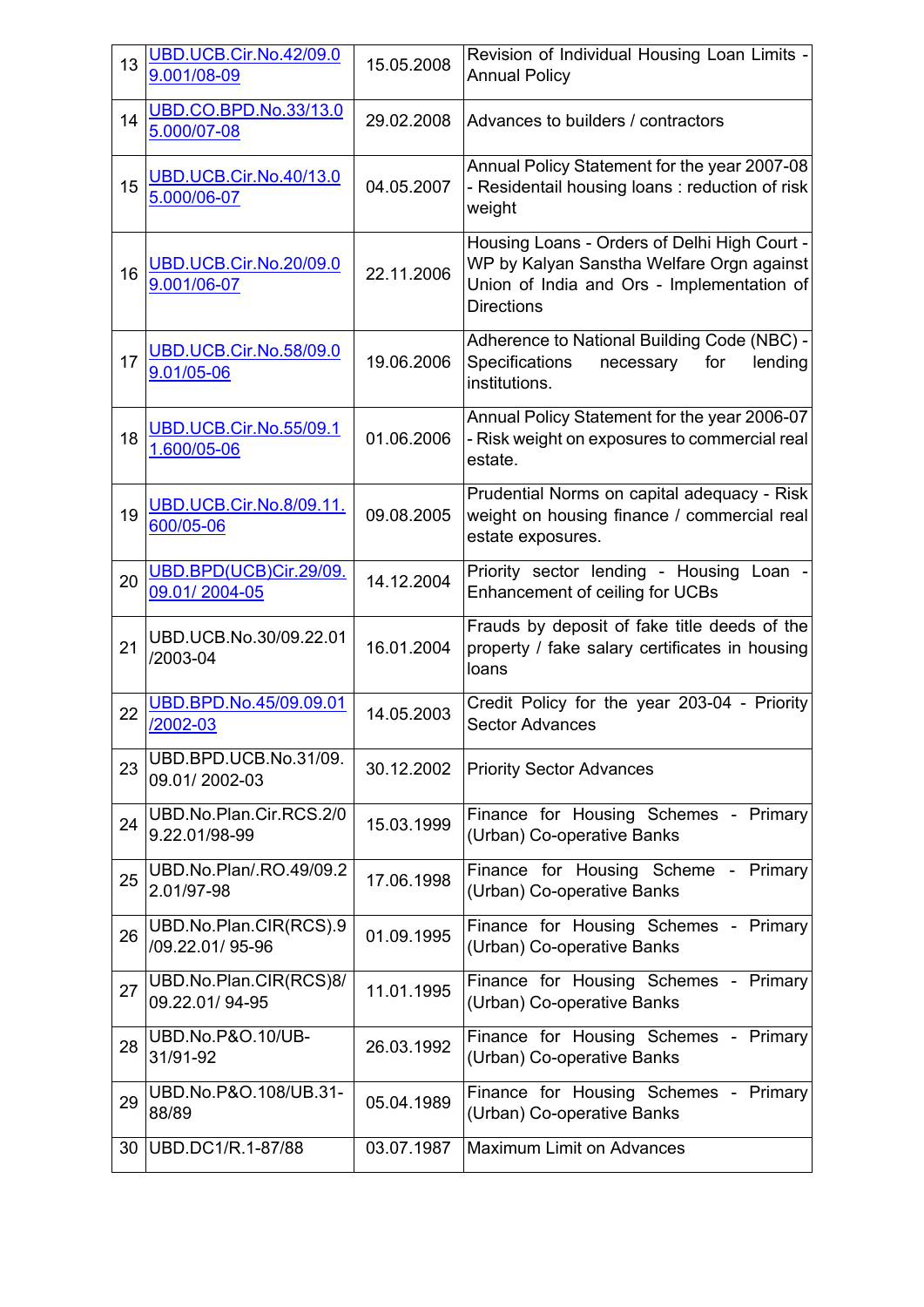| 13 | UBD.UCB.Cir.No.42/09.0<br>9.001/08-09     | 15.05.2008 | Revision of Individual Housing Loan Limits -<br><b>Annual Policy</b>                                                                                         |
|----|-------------------------------------------|------------|--------------------------------------------------------------------------------------------------------------------------------------------------------------|
| 14 | UBD.CO.BPD.No.33/13.0<br>5.000/07-08      | 29.02.2008 | Advances to builders / contractors                                                                                                                           |
| 15 | UBD.UCB.Cir.No.40/13.0<br>5.000/06-07     | 04.05.2007 | Annual Policy Statement for the year 2007-08<br>- Residentail housing loans: reduction of risk<br>weight                                                     |
| 16 | UBD.UCB.Cir.No.20/09.0<br>9.001/06-07     | 22.11.2006 | Housing Loans - Orders of Delhi High Court -<br>WP by Kalyan Sanstha Welfare Orgn against<br>Union of India and Ors - Implementation of<br><b>Directions</b> |
| 17 | UBD.UCB.Cir.No.58/09.0<br>9.01/05-06      | 19.06.2006 | Adherence to National Building Code (NBC) -<br>Specifications<br>lending<br>necessary<br>for<br>institutions.                                                |
| 18 | UBD.UCB.Cir.No.55/09.1<br>1.600/05-06     | 01.06.2006 | Annual Policy Statement for the year 2006-07<br>- Risk weight on exposures to commercial real<br>estate.                                                     |
| 19 | UBD.UCB.Cir.No.8/09.11.<br>600/05-06      | 09.08.2005 | Prudential Norms on capital adequacy - Risk<br>weight on housing finance / commercial real<br>estate exposures.                                              |
| 20 | UBD.BPD(UCB)Cir.29/09.<br>09.01/2004-05   | 14.12.2004 | Priority sector lending - Housing Loan -<br>Enhancement of ceiling for UCBs                                                                                  |
| 21 | UBD.UCB.No.30/09.22.01<br>/2003-04        | 16.01.2004 | Frauds by deposit of fake title deeds of the<br>property / fake salary certificates in housing<br>loans                                                      |
| 22 | UBD.BPD.No.45/09.09.01<br>/2002-03        | 14.05.2003 | Credit Policy for the year 203-04 - Priority<br><b>Sector Advances</b>                                                                                       |
| 23 | UBD.BPD.UCB.No.31/09.<br>09.01/2002-03    | 30.12.2002 | <b>Priority Sector Advances</b>                                                                                                                              |
| 24 | UBD.No.Plan.Cir.RCS.2/0<br>9.22.01/98-99  | 15.03.1999 | Finance for Housing Schemes - Primary<br>(Urban) Co-operative Banks                                                                                          |
| 25 | UBD.No.Plan/.RO.49/09.2<br>2.01/97-98     | 17.06.1998 | Finance for Housing Scheme - Primary<br>(Urban) Co-operative Banks                                                                                           |
| 26 | UBD.No.Plan.CIR(RCS).9<br>/09.22.01/95-96 | 01.09.1995 | Finance for Housing Schemes - Primary<br>(Urban) Co-operative Banks                                                                                          |
| 27 | UBD.No.Plan.CIR(RCS)8/<br>09.22.01/94-95  | 11.01.1995 | Finance for Housing Schemes - Primary<br>(Urban) Co-operative Banks                                                                                          |
| 28 | UBD.No.P&O.10/UB-<br>31/91-92             | 26.03.1992 | Finance for Housing Schemes - Primary<br>(Urban) Co-operative Banks                                                                                          |
| 29 | UBD.No.P&O.108/UB.31-<br>88/89            | 05.04.1989 | Finance for Housing Schemes - Primary<br>(Urban) Co-operative Banks                                                                                          |
| 30 | UBD.DC1/R.1-87/88                         | 03.07.1987 | <b>Maximum Limit on Advances</b>                                                                                                                             |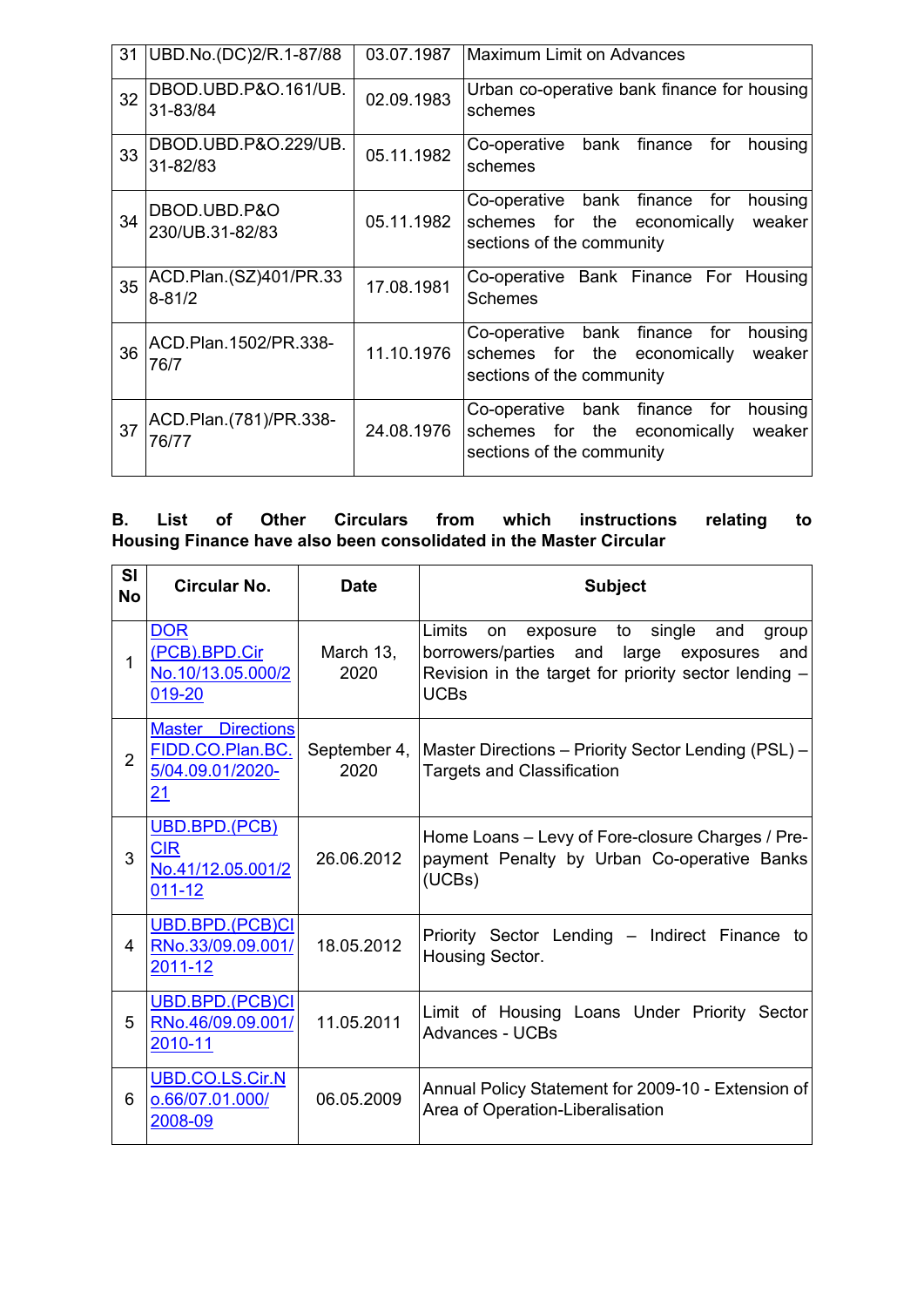| 31 | UBD.No.(DC)2/R.1-87/88               | 03.07.1987 | <b>Maximum Limit on Advances</b>                                                                                         |
|----|--------------------------------------|------------|--------------------------------------------------------------------------------------------------------------------------|
| 32 | DBOD.UBD.P&O.161/UB.<br>31-83/84     | 02.09.1983 | Urban co-operative bank finance for housing<br>schemes                                                                   |
| 33 | DBOD.UBD.P&O.229/UB.<br>31-82/83     | 05.11.1982 | Co-operative<br>finance<br>for<br>bank<br>housing<br>schemes                                                             |
| 34 | DBOD.UBD.P&O<br>230/UB.31-82/83      | 05.11.1982 | Co-operative bank finance<br>for<br>housing<br>schemes for the<br>weaker<br>economically<br>sections of the community    |
| 35 | ACD.Plan.(SZ)401/PR.33<br>$8 - 81/2$ | 17.08.1981 | Co-operative Bank Finance For Housing<br><b>Schemes</b>                                                                  |
| 36 | ACD.Plan.1502/PR.338-<br>76/7        | 11.10.1976 | Co-operative bank finance<br>for<br>housing<br>schemes for<br>the<br>economically<br>weaker<br>sections of the community |
| 37 | ACD.Plan.(781)/PR.338-<br>76/77      | 24.08.1976 | Co-operative bank<br>finance<br>for<br>housing<br>schemes for the<br>weaker<br>economically<br>sections of the community |

## **B. List of Other Circulars from which instructions relating to Housing Finance have also been consolidated in the Master Circular**

| <b>SI</b><br>No | <b>Circular No.</b>                                                           | <b>Date</b>       | <b>Subject</b>                                                                                                                                                               |
|-----------------|-------------------------------------------------------------------------------|-------------------|------------------------------------------------------------------------------------------------------------------------------------------------------------------------------|
| 1               | <b>DOR</b><br>(PCB).BPD.Cir<br>No.10/13.05.000/2<br>019-20                    | March 13,<br>2020 | Limits<br>exposure to single<br>and<br>group<br>on<br>borrowers/parties and<br>large exposures<br>and<br>Revision in the target for priority sector lending -<br><b>UCBs</b> |
| $\overline{2}$  | <b>Master Directions</b><br>FIDD.CO.Plan.BC.<br>5/04.09.01/2020-<br><u>21</u> | 2020              | September 4,   Master Directions – Priority Sector Lending (PSL) –<br><b>Targets and Classification</b>                                                                      |
| 3               | UBD.BPD.(PCB)<br>CIR<br>No.41/12.05.001/2<br>$011 - 12$                       | 26.06.2012        | Home Loans - Levy of Fore-closure Charges / Pre-<br>payment Penalty by Urban Co-operative Banks<br>(UCBs)                                                                    |
| 4               | <b>UBD.BPD.(PCB)CI</b><br>RNo.33/09.09.001/<br>2011-12                        | 18.05.2012        | Priority Sector Lending - Indirect Finance to<br>Housing Sector.                                                                                                             |
| 5               | <b>UBD.BPD.(PCB)CI</b><br>RNo.46/09.09.001/<br>2010-11                        | 11.05.2011        | Limit of Housing Loans Under Priority Sector<br><b>Advances - UCBs</b>                                                                                                       |
| 6               | UBD.CO.LS.Cir.N<br>o.66/07.01.000/<br>2008-09                                 | 06.05.2009        | Annual Policy Statement for 2009-10 - Extension of<br>Area of Operation-Liberalisation                                                                                       |